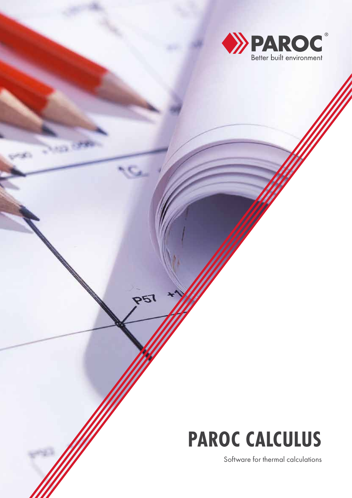

# **PAROC CALCULUS**

**P51** 

Software for thermal calculations